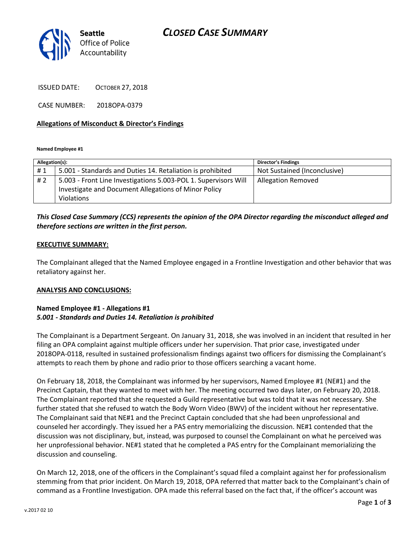## *CLOSED CASE SUMMARY*



ISSUED DATE: OCTOBER 27, 2018

CASE NUMBER: 2018OPA-0379

#### **Allegations of Misconduct & Director's Findings**

**Named Employee #1**

| Allegation(s): |                                                                 | <b>Director's Findings</b>   |
|----------------|-----------------------------------------------------------------|------------------------------|
| #1             | 5.001 - Standards and Duties 14. Retaliation is prohibited      | Not Sustained (Inconclusive) |
| #2             | 5.003 - Front Line Investigations 5.003-POL 1. Supervisors Will | <b>Allegation Removed</b>    |
|                | Investigate and Document Allegations of Minor Policy            |                              |
|                | Violations                                                      |                              |

### *This Closed Case Summary (CCS) represents the opinion of the OPA Director regarding the misconduct alleged and therefore sections are written in the first person.*

#### **EXECUTIVE SUMMARY:**

The Complainant alleged that the Named Employee engaged in a Frontline Investigation and other behavior that was retaliatory against her.

### **ANALYSIS AND CONCLUSIONS:**

### **Named Employee #1 - Allegations #1** *5.001 - Standards and Duties 14. Retaliation is prohibited*

The Complainant is a Department Sergeant. On January 31, 2018, she was involved in an incident that resulted in her filing an OPA complaint against multiple officers under her supervision. That prior case, investigated under 2018OPA-0118, resulted in sustained professionalism findings against two officers for dismissing the Complainant's attempts to reach them by phone and radio prior to those officers searching a vacant home.

On February 18, 2018, the Complainant was informed by her supervisors, Named Employee #1 (NE#1) and the Precinct Captain, that they wanted to meet with her. The meeting occurred two days later, on February 20, 2018. The Complainant reported that she requested a Guild representative but was told that it was not necessary. She further stated that she refused to watch the Body Worn Video (BWV) of the incident without her representative. The Complainant said that NE#1 and the Precinct Captain concluded that she had been unprofessional and counseled her accordingly. They issued her a PAS entry memorializing the discussion. NE#1 contended that the discussion was not disciplinary, but, instead, was purposed to counsel the Complainant on what he perceived was her unprofessional behavior. NE#1 stated that he completed a PAS entry for the Complainant memorializing the discussion and counseling.

On March 12, 2018, one of the officers in the Complainant's squad filed a complaint against her for professionalism stemming from that prior incident. On March 19, 2018, OPA referred that matter back to the Complainant's chain of command as a Frontline Investigation. OPA made this referral based on the fact that, if the officer's account was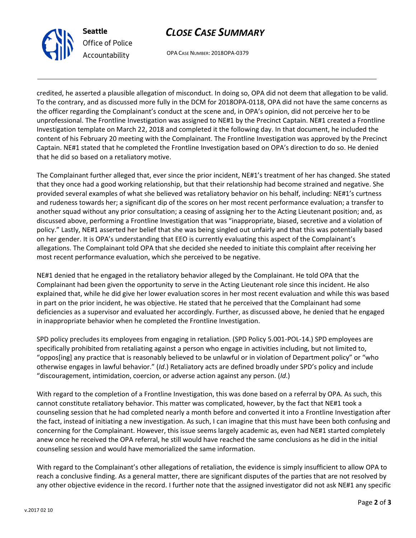

# *CLOSE CASE SUMMARY*

OPA CASE NUMBER: 2018OPA-0379

credited, he asserted a plausible allegation of misconduct. In doing so, OPA did not deem that allegation to be valid. To the contrary, and as discussed more fully in the DCM for 2018OPA-0118, OPA did not have the same concerns as the officer regarding the Complainant's conduct at the scene and, in OPA's opinion, did not perceive her to be unprofessional. The Frontline Investigation was assigned to NE#1 by the Precinct Captain. NE#1 created a Frontline Investigation template on March 22, 2018 and completed it the following day. In that document, he included the content of his February 20 meeting with the Complainant. The Frontline Investigation was approved by the Precinct Captain. NE#1 stated that he completed the Frontline Investigation based on OPA's direction to do so. He denied that he did so based on a retaliatory motive.

The Complainant further alleged that, ever since the prior incident, NE#1's treatment of her has changed. She stated that they once had a good working relationship, but that their relationship had become strained and negative. She provided several examples of what she believed was retaliatory behavior on his behalf, including: NE#1's curtness and rudeness towards her; a significant dip of the scores on her most recent performance evaluation; a transfer to another squad without any prior consultation; a ceasing of assigning her to the Acting Lieutenant position; and, as discussed above, performing a Frontline Investigation that was "inappropriate, biased, secretive and a violation of policy." Lastly, NE#1 asserted her belief that she was being singled out unfairly and that this was potentially based on her gender. It is OPA's understanding that EEO is currently evaluating this aspect of the Complainant's allegations. The Complainant told OPA that she decided she needed to initiate this complaint after receiving her most recent performance evaluation, which she perceived to be negative.

NE#1 denied that he engaged in the retaliatory behavior alleged by the Complainant. He told OPA that the Complainant had been given the opportunity to serve in the Acting Lieutenant role since this incident. He also explained that, while he did give her lower evaluation scores in her most recent evaluation and while this was based in part on the prior incident, he was objective. He stated that he perceived that the Complainant had some deficiencies as a supervisor and evaluated her accordingly. Further, as discussed above, he denied that he engaged in inappropriate behavior when he completed the Frontline Investigation.

SPD policy precludes its employees from engaging in retaliation. (SPD Policy 5.001-POL-14.) SPD employees are specifically prohibited from retaliating against a person who engage in activities including, but not limited to, "oppos[ing] any practice that is reasonably believed to be unlawful or in violation of Department policy" or "who otherwise engages in lawful behavior." (*Id*.) Retaliatory acts are defined broadly under SPD's policy and include "discouragement, intimidation, coercion, or adverse action against any person. (*Id*.)

With regard to the completion of a Frontline Investigation, this was done based on a referral by OPA. As such, this cannot constitute retaliatory behavior. This matter was complicated, however, by the fact that NE#1 took a counseling session that he had completed nearly a month before and converted it into a Frontline Investigation after the fact, instead of initiating a new investigation. As such, I can imagine that this must have been both confusing and concerning for the Complainant. However, this issue seems largely academic as, even had NE#1 started completely anew once he received the OPA referral, he still would have reached the same conclusions as he did in the initial counseling session and would have memorialized the same information.

With regard to the Complainant's other allegations of retaliation, the evidence is simply insufficient to allow OPA to reach a conclusive finding. As a general matter, there are significant disputes of the parties that are not resolved by any other objective evidence in the record. I further note that the assigned investigator did not ask NE#1 any specific